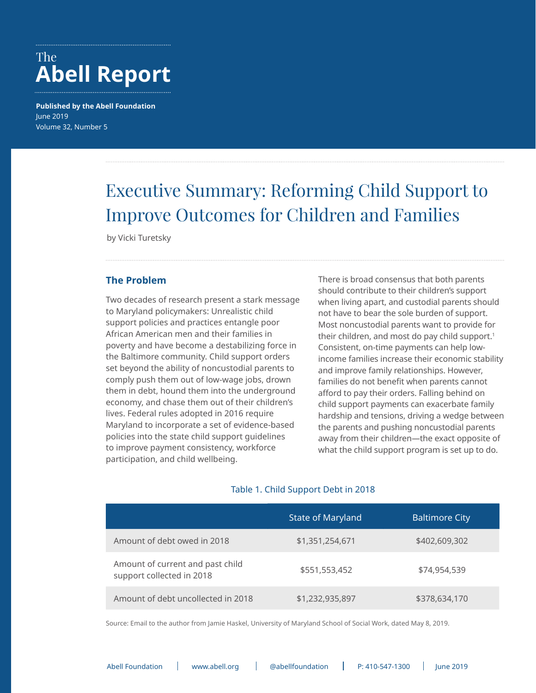# <span id="page-0-0"></span>The **Abell Report**

**Published by the Abell Foundation** June 2019 Volume 32, Number 5

# Executive Summary: Reforming Child Support to Improve Outcomes for Children and Families

by Vicki Turetsky

#### **The Problem**

Two decades of research present a stark message to Maryland policymakers: Unrealistic child support policies and practices entangle poor African American men and their families in poverty and have become a destabilizing force in the Baltimore community. Child support orders set beyond the ability of noncustodial parents to comply push them out of low-wage jobs, drown them in debt, hound them into the underground economy, and chase them out of their children's lives. Federal rules adopted in 2016 require Maryland to incorporate a set of evidence-based policies into the state child support guidelines to improve payment consistency, workforce participation, and child wellbeing.

There is broad consensus that both parents should contribute to their children's support when living apart, and custodial parents should not have to bear the sole burden of support. Most noncustodial parents want to provide for their children, and most do pay child support.<sup>1</sup> Consistent, on-time payments can help lowincome families increase their economic stability and improve family relationships. However, families do not benefit when parents cannot afford to pay their orders. Falling behind on child support payments can exacerbate family hardship and tensions, driving a wedge between the parents and pushing noncustodial parents away from their children—the exact opposite of what the child support program is set up to do.

#### Table 1. Child Support Debt in 2018

|                                                               | State of Maryland | <b>Baltimore City</b> |
|---------------------------------------------------------------|-------------------|-----------------------|
| Amount of debt owed in 2018                                   | \$1,351,254,671   | \$402,609,302         |
| Amount of current and past child<br>support collected in 2018 | \$551,553,452     | \$74,954,539          |
| Amount of debt uncollected in 2018                            | \$1,232,935,897   | \$378,634,170         |

Source: Email to the author from Jamie Haskel, University of Maryland School of Social Work, dated May 8, 2019.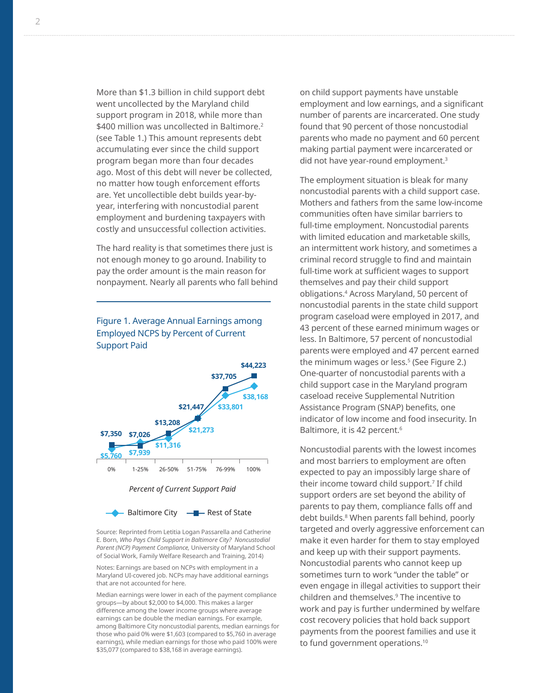<span id="page-1-0"></span>More than \$1.3 billion in child support debt went uncollected by the Maryland child support program in 2018, while more than \$400 million was uncollected in Baltimore.<sup>[2](#page-8-0)</sup> (see Table 1.) This amount represents debt accumulating ever since the child support program began more than four decades ago. Most of this debt will never be collected, no matter how tough enforcement efforts are. Yet uncollectible debt builds year-byyear, interfering with noncustodial parent employment and burdening taxpayers with costly and unsuccessful collection activities.

The hard reality is that sometimes there just is not enough money to go around. Inability to pay the order amount is the main reason for nonpayment. Nearly all parents who fall behind

#### Figure 1. Average Annual Earnings among Employed NCPS by Percent of Current Support Paid



Source: Reprinted from Letitia Logan Passarella and Catherine E. Born, *Who Pays Child Support in Baltimore City? Noncustodial Parent (NCP) Payment Compliance,* University of Maryland School of Social Work, Family Welfare Research and Training, 2014)

Notes: Earnings are based on NCPs with employment in a Maryland UI-covered job. NCPs may have additional earnings that are not accounted for here.

Median earnings were lower in each of the payment compliance groups—by about \$2,000 to \$4,000. This makes a larger difference among the lower income groups where average earnings can be double the median earnings. For example, among Baltimore City noncustodial parents, median earnings for those who paid 0% were \$1,603 (compared to \$5,760 in average earnings), while median earnings for those who paid 100% were \$35,077 (compared to \$38,168 in average earnings).

on child support payments have unstable employment and low earnings, and a significant number of parents are incarcerated. One study found that 90 percent of those noncustodial parents who made no payment and 60 percent making partial payment were incarcerated or did not have year-round employment.<sup>3</sup>

The employment situation is bleak for many noncustodial parents with a child support case. Mothers and fathers from the same low-income communities often have similar barriers to full-time employment. Noncustodial parents with limited education and marketable skills, an intermittent work history, and sometimes a criminal record struggle to find and maintain full-time work at sufficient wages to support themselves and pay their child support obligations.[4](#page-8-0) Across Maryland, 50 percent of noncustodial parents in the state child support program caseload were employed in 2017, and 43 percent of these earned minimum wages or less. In Baltimore, 57 percent of noncustodial parents were employed and 47 percent earned the minimum wages or less.[5](#page-8-0) (See Figure 2.) One-quarter of noncustodial parents with a child support case in the Maryland program caseload receive Supplemental Nutrition Assistance Program (SNAP) benefits, one indicator of low income and food insecurity. In Baltimore, it is 42 percent.<sup>6</sup>

Noncustodial parents with the lowest incomes and most barriers to employment are often expected to pay an impossibly large share of their income toward child support.[7](#page-9-0) If child support orders are set beyond the ability of parents to pay them, compliance falls off and debt builds[.8](#page-9-0) When parents fall behind, poorly targeted and overly aggressive enforcement can make it even harder for them to stay employed and keep up with their support payments. Noncustodial parents who cannot keep up sometimes turn to work "under the table" or even engage in illegal activities to support their children and themselves.[9](#page-9-0) The incentive to work and pay is further undermined by welfare cost recovery policies that hold back support payments from the poorest families and use it to fund government operations.<sup>[10](#page-9-0)</sup>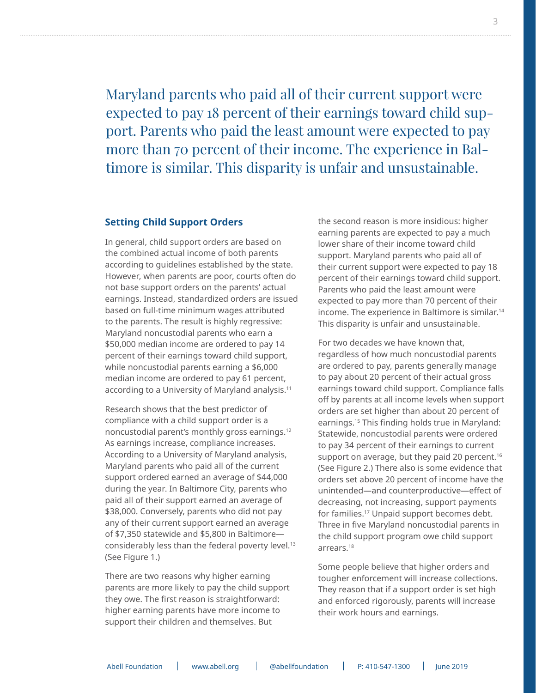<span id="page-2-0"></span>Maryland parents who paid all of their current support were expected to pay 18 percent of their earnings toward child support. Parents who paid the least amount were expected to pay more than 70 percent of their income. The experience in Baltimore is similar. This disparity is unfair and unsustainable.

#### **Setting Child Support Orders**

In general, child support orders are based on the combined actual income of both parents according to guidelines established by the state. However, when parents are poor, courts often do not base support orders on the parents' actual earnings. Instead, standardized orders are issued based on full-time minimum wages attributed to the parents. The result is highly regressive: Maryland noncustodial parents who earn a \$50,000 median income are ordered to pay 14 percent of their earnings toward child support, while noncustodial parents earning a \$6,000 median income are ordered to pay 61 percent, according to a University of Maryland analysis.<sup>11</sup>

Research shows that the best predictor of compliance with a child support order is a noncustodial parent's monthly gross earnings.[12](#page-9-0) As earnings increase, compliance increases. According to a University of Maryland analysis, Maryland parents who paid all of the current support ordered earned an average of \$44,000 during the year. In Baltimore City, parents who paid all of their support earned an average of \$38,000. Conversely, parents who did not pay any of their current support earned an average of \$7,350 statewide and \$5,800 in Baltimore considerably less than the federal poverty level.<sup>13</sup> (See Figure 1.)

There are two reasons why higher earning parents are more likely to pay the child support they owe. The first reason is straightforward: higher earning parents have more income to support their children and themselves. But

the second reason is more insidious: higher earning parents are expected to pay a much lower share of their income toward child support. Maryland parents who paid all of their current support were expected to pay 18 percent of their earnings toward child support. Parents who paid the least amount were expected to pay more than 70 percent of their income. The experience in Baltimore is similar.[14](#page-9-0) This disparity is unfair and unsustainable.

For two decades we have known that, regardless of how much noncustodial parents are ordered to pay, parents generally manage to pay about 20 percent of their actual gross earnings toward child support. Compliance falls off by parents at all income levels when support orders are set higher than about 20 percent of earnings[.15](#page-9-0) This finding holds true in Maryland: Statewide, noncustodial parents were ordered to pay 34 percent of their earnings to current support on average, but they paid 20 percent.<sup>16</sup> (See Figure 2.) There also is some evidence that orders set above 20 percent of income have the unintended—and counterproductive—effect of decreasing, not increasing, support payments for families[.17](#page-9-0) Unpaid support becomes debt. Three in five Maryland noncustodial parents in the child support program owe child support arrears[.18](#page-9-0)

Some people believe that higher orders and tougher enforcement will increase collections. They reason that if a support order is set high and enforced rigorously, parents will increase their work hours and earnings.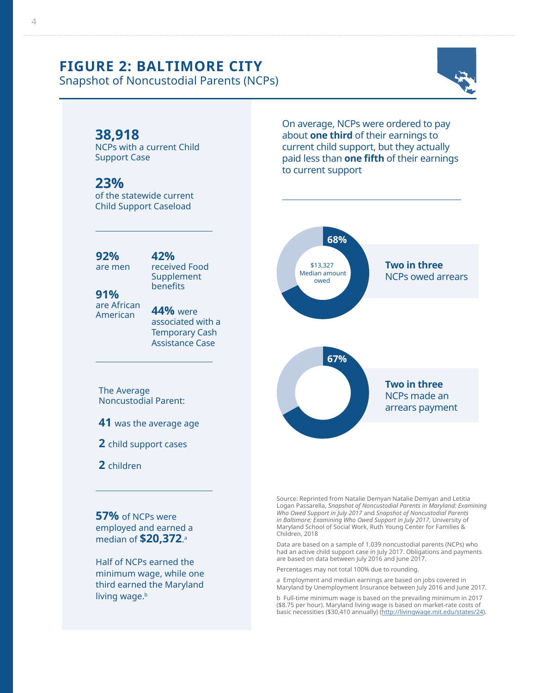## **FIGURE 2: BALTIMORE CITY**

Snapshot of Noncustodial Parents (NCPs)



### **38,918**

NCPs with a current Child Support Case

### **23%**

of the statewide current Child Support Caseload

**92%** are men

## **42%**

received Food Supplement benefits

**91%** are African American

**44%** were associated with a Temporary Cash Assistance Case

The Average Noncustodial Parent:

**41** was the average age

#### **2** child support cases

**2** children

**57%** of NCPs were employed and earned a median of **\$20,372**. a

Half of NCPs earned the minimum wage, while one third earned the Maryland living wage.<sup>b</sup>

On average, NCPs were ordered to pay about **one third** of their earnings to current child support, but they actually paid less than **one fifth** of their earnings to current support



Source: Reprinted from Natalie Demyan Natalie Demyan and Letitia Logan Passarella, *Snapshot of Noncustodial Parents in Maryland: Examining Who Owed Support in July 2017* and *Snapshot of Noncustodial Parents in Baltimore: Examining Who Owed Support in July 2017*, University of Maryland School of Social Work, Ruth Young Center for Families & Children, 2018

Data are based on a sample of 1,039 noncustodial parents (NCPs) who had an active child support case in July 2017. Obligations and payments are based on data between July 2016 and June 2017.

Percentages may not total 100% due to rounding.

a Employment and median earnings are based on jobs covered in Maryland by Unemployment Insurance between July 2016 and June 2017.

b Full-time minimum wage is based on the prevailing minimum in 2017 (\$8.75 per hour). Maryland living wage is based on market-rate costs of basic necessities (\$30,410 annually) [\(http://livingwage.mit.edu/states/24](http://livingwage.mit.edu/states/24)).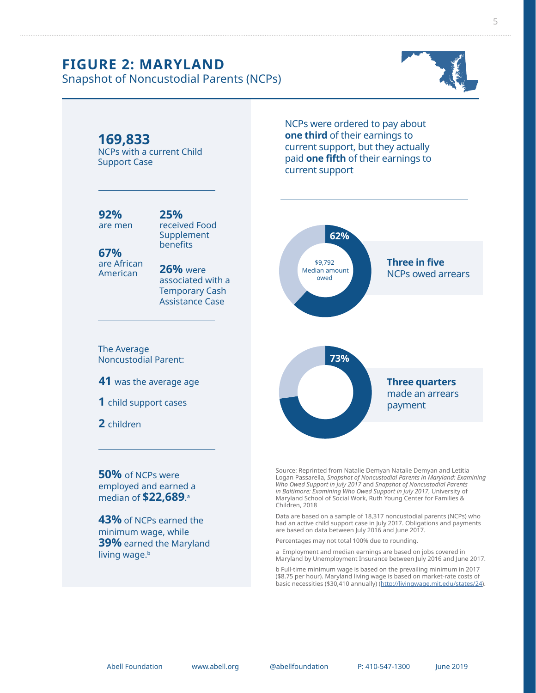## **FIGURE 2: MARYLAND**

Snapshot of Noncustodial Parents (NCPs)





minimum wage, while **39%** earned the Maryland living wage.<sup>b</sup>

are based on data between July 2016 and June 2017. Percentages may not total 100% due to rounding.

a Employment and median earnings are based on jobs covered in Maryland by Unemployment Insurance between July 2016 and June 2017.

b Full-time minimum wage is based on the prevailing minimum in 2017 (\$8.75 per hour). Maryland living wage is based on market-rate costs of basic necessities (\$30,410 annually) (<http://livingwage.mit.edu/states/24>).

Abell Foundation www.abell.org @abellfoundation P: 410-547-1300 June 2019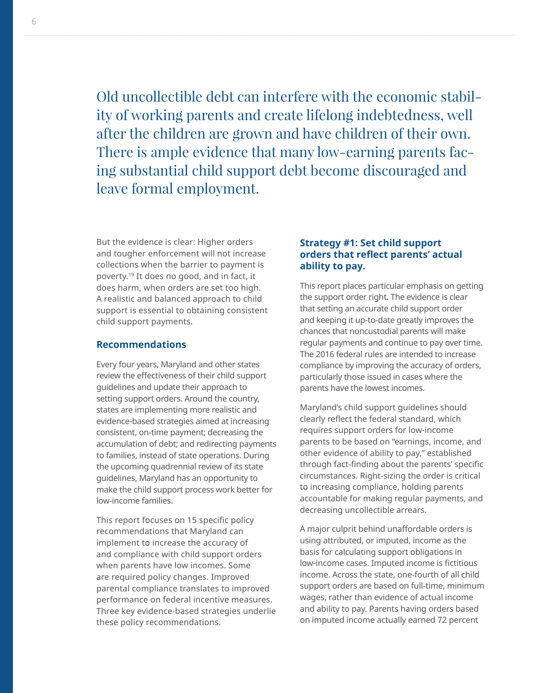<span id="page-5-0"></span>Old uncollectible debt can interfere with the economic stability of working parents and create lifelong indebtedness, well after the children are grown and have children of their own. There is ample evidence that many low-earning parents facing substantial child support debt become discouraged and leave formal employment.

But the evidence is clear: Higher orders and tougher enforcement will not increase collections when the barrier to payment is poverty.[19](#page-9-0) It does no good, and in fact, it does harm, when orders are set too high. A realistic and balanced approach to child support is essential to obtaining consistent child support payments.

#### **Recommendations**

Every four years, Maryland and other states review the effectiveness of their child support guidelines and update their approach to setting support orders. Around the country, states are implementing more realistic and evidence-based strategies aimed at increasing consistent, on-time payment; decreasing the accumulation of debt; and redirecting payments to families, instead of state operations. During the upcoming quadrennial review of its state guidelines, Maryland has an opportunity to make the child support process work better for low-income families.

This report focuses on 15 specific policy recommendations that Maryland can implement to increase the accuracy of and compliance with child support orders when parents have low incomes. Some are required policy changes. Improved parental compliance translates to improved performance on federal incentive measures. Three key evidence-based strategies underlie these policy recommendations.

#### **Strategy #1: Set child support orders that reflect parents' actual ability to pay.**

This report places particular emphasis on getting the support order right. The evidence is clear that setting an accurate child support order and keeping it up-to-date greatly improves the chances that noncustodial parents will make regular payments and continue to pay over time. The 2016 federal rules are intended to increase compliance by improving the accuracy of orders, particularly those issued in cases where the parents have the lowest incomes.

Maryland's child support guidelines should clearly reflect the federal standard, which requires support orders for low-income parents to be based on "earnings, income, and other evidence of ability to pay," established through fact-finding about the parents' specific circumstances. Right-sizing the order is critical to increasing compliance, holding parents accountable for making regular payments, and decreasing uncollectible arrears.

A major culprit behind unaffordable orders is using attributed, or imputed, income as the basis for calculating support obligations in low-income cases. Imputed income is fictitious income. Across the state, one-fourth of all child support orders are based on full-time, minimum wages, rather than evidence of actual income and ability to pay. Parents having orders based on imputed income actually earned 72 percent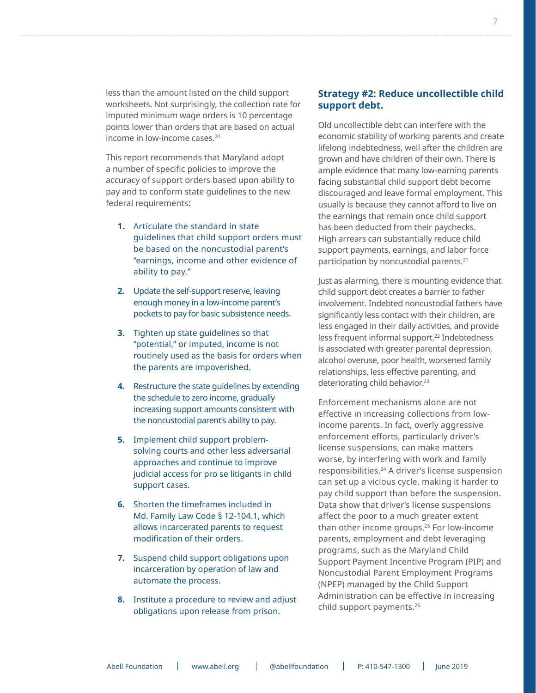<span id="page-6-0"></span>less than the amount listed on the child support worksheets. Not surprisingly, the collection rate for imputed minimum wage orders is 10 percentage points lower than orders that are based on actual income in low-income cases[.20](#page-9-0)

This report recommends that Maryland adopt a number of specific policies to improve the accuracy of support orders based upon ability to pay and to conform state guidelines to the new federal requirements:

- **1.** Articulate the standard in state guidelines that child support orders must be based on the noncustodial parent's "earnings, income and other evidence of ability to pay."
- **2.** Update the self-support reserve, leaving enough money in a low-income parent's pockets to pay for basic subsistence needs.
- **3.** Tighten up state guidelines so that "potential," or imputed, income is not routinely used as the basis for orders when the parents are impoverished.
- **4.** Restructure the state guidelines by extending the schedule to zero income, gradually increasing support amounts consistent with the noncustodial parent's ability to pay.
- **5.** Implement child support problemsolving courts and other less adversarial approaches and continue to improve judicial access for pro se litigants in child support cases.
- **6.** Shorten the timeframes included in Md. Family Law Code § 12-104.1, which allows incarcerated parents to request modification of their orders.
- **7.** Suspend child support obligations upon incarceration by operation of law and automate the process.
- **8.** Institute a procedure to review and adjust obligations upon release from prison.

#### **Strategy #2: Reduce uncollectible child support debt.**

Old uncollectible debt can interfere with the economic stability of working parents and create lifelong indebtedness, well after the children are grown and have children of their own. There is ample evidence that many low-earning parents facing substantial child support debt become discouraged and leave formal employment. This usually is because they cannot afford to live on the earnings that remain once child support has been deducted from their paychecks. High arrears can substantially reduce child support payments, earnings, and labor force participation by noncustodial parents[.21](#page-9-0)

Just as alarming, there is mounting evidence that child support debt creates a barrier to father involvement. Indebted noncustodial fathers have significantly less contact with their children, are less engaged in their daily activities, and provide less frequent informal support.<sup>22</sup> Indebtedness is associated with greater parental depression, alcohol overuse, poor health, worsened family relationships, less effective parenting, and deteriorating child behavior.<sup>23</sup>

Enforcement mechanisms alone are not effective in increasing collections from lowincome parents. In fact, overly aggressive enforcement efforts, particularly driver's license suspensions, can make matters worse, by interfering with work and family responsibilities.[24](#page-10-0) A driver's license suspension can set up a vicious cycle, making it harder to pay child support than before the suspension. Data show that driver's license suspensions affect the poor to a much greater extent than other income groups.<sup>25</sup> For low-income parents, employment and debt leveraging programs, such as the Maryland Child Support Payment Incentive Program (PIP) and Noncustodial Parent Employment Programs (NPEP) managed by the Child Support Administration can be effective in increasing child support payments.[26](#page-10-0)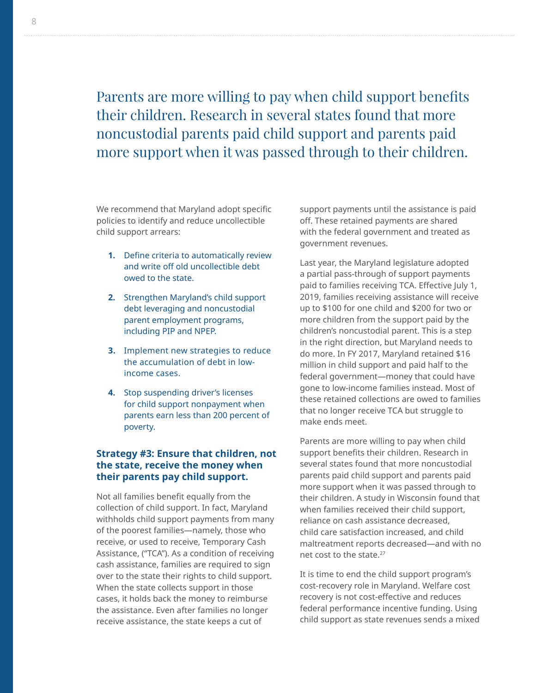<span id="page-7-0"></span>Parents are more willing to pay when child support benefits their children. Research in several states found that more noncustodial parents paid child support and parents paid more support when it was passed through to their children.

We recommend that Maryland adopt specific policies to identify and reduce uncollectible child support arrears:

- **1.** Define criteria to automatically review and write off old uncollectible debt owed to the state.
- **2.** Strengthen Maryland's child support debt leveraging and noncustodial parent employment programs, including PIP and NPEP.
- **3.** Implement new strategies to reduce the accumulation of debt in lowincome cases.
- **4.** Stop suspending driver's licenses for child support nonpayment when parents earn less than 200 percent of poverty.

#### **Strategy #3: Ensure that children, not the state, receive the money when their parents pay child support.**

Not all families benefit equally from the collection of child support. In fact, Maryland withholds child support payments from many of the poorest families—namely, those who receive, or used to receive, Temporary Cash Assistance, ("TCA"). As a condition of receiving cash assistance, families are required to sign over to the state their rights to child support. When the state collects support in those cases, it holds back the money to reimburse the assistance. Even after families no longer receive assistance, the state keeps a cut of

support payments until the assistance is paid off. These retained payments are shared with the federal government and treated as government revenues.

Last year, the Maryland legislature adopted a partial pass-through of support payments paid to families receiving TCA. Effective July 1, 2019, families receiving assistance will receive up to \$100 for one child and \$200 for two or more children from the support paid by the children's noncustodial parent. This is a step in the right direction, but Maryland needs to do more. In FY 2017, Maryland retained \$16 million in child support and paid half to the federal government—money that could have gone to low-income families instead. Most of these retained collections are owed to families that no longer receive TCA but struggle to make ends meet.

Parents are more willing to pay when child support benefits their children. Research in several states found that more noncustodial parents paid child support and parents paid more support when it was passed through to their children. A study in Wisconsin found that when families received their child support, reliance on cash assistance decreased, child care satisfaction increased, and child maltreatment reports decreased—and with no net cost to the state.<sup>27</sup>

It is time to end the child support program's cost-recovery role in Maryland. Welfare cost recovery is not cost-effective and reduces federal performance incentive funding. Using child support as state revenues sends a mixed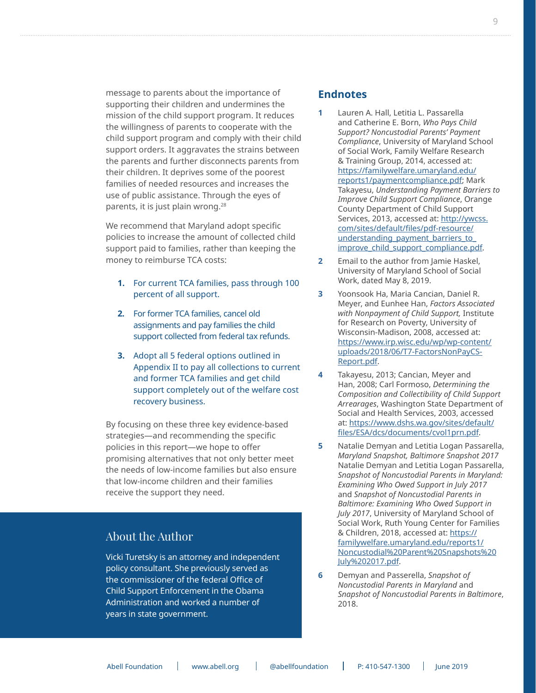<span id="page-8-0"></span>message to parents about the importance of supporting their children and undermines the mission of the child support program. It reduces the willingness of parents to cooperate with the child support program and comply with their child support orders. It aggravates the strains between the parents and further disconnects parents from their children. It deprives some of the poorest families of needed resources and increases the use of public assistance. Through the eyes of parents, it is just plain wrong.<sup>28</sup>

We recommend that Maryland adopt specific policies to increase the amount of collected child support paid to families, rather than keeping the money to reimburse TCA costs:

- **1.** For current TCA families, pass through 100 percent of all support.
- **2.** For former TCA families, cancel old assignments and pay families the child support collected from federal tax refunds.
- **3.** Adopt all 5 federal options outlined in Appendix II to pay all collections to current and former TCA families and get child support completely out of the welfare cost recovery business.

By focusing on these three key evidence-based strategies—and recommending the specific policies in this report—we hope to offer promising alternatives that not only better meet the needs of low-income families but also ensure that low-income children and their families receive the support they need.

#### About the Author

Vicki Turetsky is an attorney and independent policy consultant. She previously served as the commissioner of the federal Office of Child Support Enforcement in the Obama Administration and worked a number of years in state government.

#### **Endnotes**

- **[1](#page-0-0)** Lauren A. Hall, Letitia L. Passarella and Catherine E. Born, *Who Pays Child Support? Noncustodial Parents' Payment Compliance*, University of Maryland School of Social Work, Family Welfare Research & Training Group, 2014, accessed at: [https://familywelfare.umaryland.edu/](https://familywelfare.umaryland.edu/reports1/paymentcompliance.pdf) [reports1/paymentcompliance.pdf;](https://familywelfare.umaryland.edu/reports1/paymentcompliance.pdf) Mark Takayesu, *Understanding Payment Barriers to Improve Child Support Compliance*, Orange County Department of Child Support Services, 2013, accessed at: [http://ywcss.](http://ywcss.com/sites/default/files/pdf-resource/understanding_payment_barriers_to_improve_child_support_compliance.pdf) [com/sites/default/files/pdf-resource/](http://ywcss.com/sites/default/files/pdf-resource/understanding_payment_barriers_to_improve_child_support_compliance.pdf) [understanding\\_payment\\_barriers\\_to\\_](http://ywcss.com/sites/default/files/pdf-resource/understanding_payment_barriers_to_improve_child_support_compliance.pdf) improve child support compliance.pdf.
- **[2](#page-1-0)** Email to the author from Jamie Haskel, University of Maryland School of Social Work, dated May 8, 2019.
- **[3](#page-1-0)** Yoonsook Ha, Maria Cancian, Daniel R. Meyer, and Eunhee Han, *Factors Associated with Nonpayment of Child Support,* Institute for Research on Poverty, University of Wisconsin-Madison, 2008, accessed at: [https://www.irp.wisc.edu/wp/wp-content/](https://www.irp.wisc.edu/wp/wp-content/uploads/2018/06/T7-FactorsNonPayCS-Report.pdf) [uploads/2018/06/T7-FactorsNonPayCS-](https://www.irp.wisc.edu/wp/wp-content/uploads/2018/06/T7-FactorsNonPayCS-Report.pdf)[Report.pdf](https://www.irp.wisc.edu/wp/wp-content/uploads/2018/06/T7-FactorsNonPayCS-Report.pdf).
- **[4](#page-1-0)** Takayesu, 2013; Cancian, Meyer and Han, 2008; Carl Formoso, *Determining the Composition and Collectibility of Child Support Arrearages*, Washington State Department of Social and Health Services, 2003, accessed at: [https://www.dshs.wa.gov/sites/default/](https://www.dshs.wa.gov/sites/default/files/ESA/dcs/documents/cvol1prn.pdf) [files/ESA/dcs/documents/cvol1prn.pdf](https://www.dshs.wa.gov/sites/default/files/ESA/dcs/documents/cvol1prn.pdf).
- **[5](#page-1-0)** Natalie Demyan and Letitia Logan Passarella, *Maryland Snapshot, Baltimore Snapshot 2017* Natalie Demyan and Letitia Logan Passarella, *Snapshot of Noncustodial Parents in Maryland: Examining Who Owed Support in July 2017* and *Snapshot of Noncustodial Parents in Baltimore: Examining Who Owed Support in July 2017*, University of Maryland School of Social Work, Ruth Young Center for Families & Children, 2018, accessed at: [https://](https://familywelfare.umaryland.edu/reports1/Noncustodial%20Parent%20Snapshots%20July%202017.pdf) [familywelfare.umaryland.edu/reports1/](https://familywelfare.umaryland.edu/reports1/Noncustodial%20Parent%20Snapshots%20July%202017.pdf) [Noncustodial%20Parent%20Snapshots%20](https://familywelfare.umaryland.edu/reports1/Noncustodial%20Parent%20Snapshots%20July%202017.pdf) [July%202017.pdf.](https://familywelfare.umaryland.edu/reports1/Noncustodial%20Parent%20Snapshots%20July%202017.pdf)
- **[6](#page-1-0)** Demyan and Passerella, *Snapshot of Noncustodial Parents in Maryland* and *Snapshot of Noncustodial Parents in Baltimore*, 2018.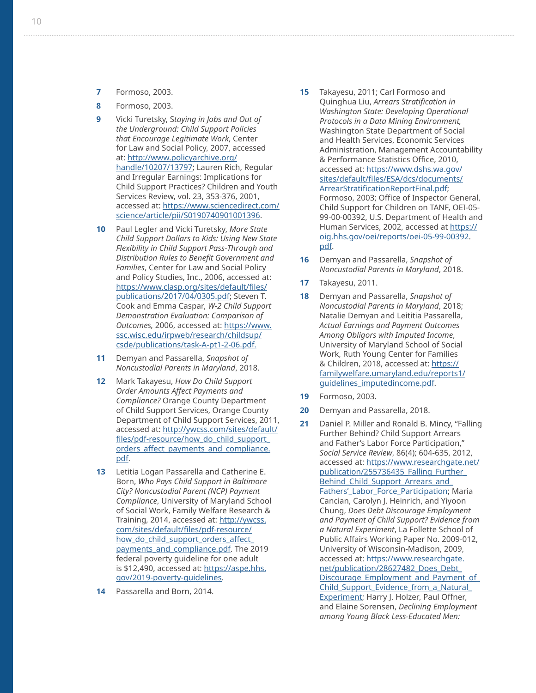- <span id="page-9-0"></span>**[7](#page-1-0)** Formoso, 2003.
- **[8](#page-1-0)** Formoso, 2003.
- **[9](#page-1-0)** Vicki Turetsky, S*taying in Jobs and Out of the Underground: Child Support Policies that Encourage Legitimate Work*, Center for Law and Social Policy, 2007, accessed at: [http://www.policyarchive.org/](http://www.policyarchive.org/handle/10207/13797) [handle/10207/13797;](http://www.policyarchive.org/handle/10207/13797) Lauren Rich, Regular and Irregular Earnings: Implications for Child Support Practices? Children and Youth Services Review, vol. 23, 353-376, 2001, accessed at: [https://www.sciencedirect.com/](https://www.sciencedirect.com/science/article/pii/S0190740901001396) [science/article/pii/S0190740901001396](https://www.sciencedirect.com/science/article/pii/S0190740901001396) .
- **[10](#page-1-0)** Paul Legler and Vicki Turetsky, *More State Child Support Dollars to Kids: Using New State Flexibility in Child Support Pass-Through and Distribution Rules to Benefit Government and Families*, Center for Law and Social Policy and Policy Studies, Inc., 2006, accessed at: [https://www.clasp.org/sites/default/files/](https://www.clasp.org/sites/default/files/publications/2017/04/0305.pdf) [publications/2017/04/0305.pdf](https://www.clasp.org/sites/default/files/publications/2017/04/0305.pdf); Steven T. Cook and Emma Caspar, *W-2 Child Support Demonstration Evaluation: Comparison of Outcomes,* 2006, accessed at: [https://www.](https://www.ssc.wisc.edu/irpweb/research/childsup/csde/publications/task-A-pt1-2-06.pdf.) [ssc.wisc.edu/irpweb/research/childsup/](https://www.ssc.wisc.edu/irpweb/research/childsup/csde/publications/task-A-pt1-2-06.pdf.) [csde/publications/task-A-pt1-2-06.pdf.](https://www.ssc.wisc.edu/irpweb/research/childsup/csde/publications/task-A-pt1-2-06.pdf.)
- **[11](#page-2-0)** Demyan and Passarella, *Snapshot of Noncustodial Parents in Maryland*, 2018.
- **[12](#page-2-0)** Mark Takayesu, *How Do Child Support Order Amounts Affect Payments and Compliance?* Orange County Department of Child Support Services, Orange County Department of Child Support Services, 2011, accessed at: [http://ywcss.com/sites/default/](http://ywcss.com/sites/default/files/pdf-resource/how_do_child_support_orders_affect_payments_and_compliance.pdf) files/pdf-resource/how do child support [orders\\_affect\\_payments\\_and\\_compliance.](http://ywcss.com/sites/default/files/pdf-resource/how_do_child_support_orders_affect_payments_and_compliance.pdf) [pdf](http://ywcss.com/sites/default/files/pdf-resource/how_do_child_support_orders_affect_payments_and_compliance.pdf) .
- **[13](#page-2-0)** Letitia Logan Passarella and Catherine E. Born, *Who Pays Child Support in Baltimore City? Noncustodial Parent (NCP) Payment Compliance*, University of Maryland School of Social Work, Family Welfare Research & Training, 2014, accessed at: [http://ywcss.](http://ywcss.com/sites/default/files/pdf-resource/how_do_child_support_orders_affect_payments_and_compliance.pdf) [com/sites/default/files/pdf-resource/](http://ywcss.com/sites/default/files/pdf-resource/how_do_child_support_orders_affect_payments_and_compliance.pdf) [how\\_do\\_child\\_support\\_orders\\_affect\\_](http://ywcss.com/sites/default/files/pdf-resource/how_do_child_support_orders_affect_payments_and_compliance.pdf) [payments\\_and\\_compliance.pdf](http://ywcss.com/sites/default/files/pdf-resource/how_do_child_support_orders_affect_payments_and_compliance.pdf). The 2019 federal poverty guideline for one adult is \$12,490, accessed at: [https://aspe.hhs.](https://aspe.hhs.gov/2019-poverty-guidelines) [gov/2019-poverty-guidelines](https://aspe.hhs.gov/2019-poverty-guidelines) .
- **[14](#page-2-0)** Passarella and Born, 2014.
- **15** Takayesu, 2011; Carl Formoso and Quinghua Liu, *Arrears Stratification in Washington State: Developing Operational Protocols in a Data Mining Environment,*  Washington State Department of Social and Health Services, Economic Services Administration, Management Accountability & Performance Statistics Office, 2010, accessed at: [https://www.dshs.wa.gov/](https://www.dshs.wa.gov/sites/default/files/ESA/dcs/documents/ArrearStratificationReportFinal.pdf) [sites/default/files/ESA/dcs/documents/](https://www.dshs.wa.gov/sites/default/files/ESA/dcs/documents/ArrearStratificationReportFinal.pdf) [ArrearStratificationReportFinal.pdf](https://www.dshs.wa.gov/sites/default/files/ESA/dcs/documents/ArrearStratificationReportFinal.pdf); Formoso, 2003; Office of Inspector General, Child Support for Children on TANF, OEI-05- 99-00-00392, U.S. Department of Health and Human Services, 2002, accessed at [https://](https://oig.hhs.gov/oei/reports/oei-05-99-00392.pdf) [oig.hhs.gov/oei/reports/oei-05-99-00392](https://oig.hhs.gov/oei/reports/oei-05-99-00392.pdf) . [pdf](https://oig.hhs.gov/oei/reports/oei-05-99-00392.pdf) .
- **[16](#page-2-0)** Demyan and Passarella, *Snapshot of Noncustodial Parents in Maryland*, 2018.
- **[17](#page-2-0)** Takayesu, 2011.
- **[18](#page-2-0)** Demyan and Passarella, *Snapshot of Noncustodial Parents in Maryland*, 2018; Natalie Demyan and Leititia Passarella, *Actual Earnings and Payment Outcomes Among Obligors with Imputed Income*, University of Maryland School of Social Work, Ruth Young Center for Families & Children, 2018, accessed at: [https://](https://familywelfare.umaryland.edu/reports1/guidelines_imputedincome.pdf) [familywelfare.umaryland.edu/reports1/](https://familywelfare.umaryland.edu/reports1/guidelines_imputedincome.pdf) [guidelines\\_imputedincome.pdf](https://familywelfare.umaryland.edu/reports1/guidelines_imputedincome.pdf) .
- **[19](#page-5-0)** Formoso, 2003.
- **[20](#page-6-0)** Demyan and Passarella, 2018.
- **[21](#page-6-0)** Daniel P. Miller and Ronald B. Mincy, "Falling Further Behind? Child Support Arrears and Father's Labor Force Participation," *Social Service Review*, 86(4); 604-635, 2012, accessed at: [https://www.researchgate.net/](https://www.researchgate.net/publication/255736435_Falling_Further_Behind_Child_Support_Arrears_and_Fathers’_Labor_Force_Participation) [publication/255736435\\_Falling\\_Further\\_](https://www.researchgate.net/publication/255736435_Falling_Further_Behind_Child_Support_Arrears_and_Fathers’_Labor_Force_Participation) [Behind\\_Child\\_Support\\_Arrears\\_and\\_](https://www.researchgate.net/publication/255736435_Falling_Further_Behind_Child_Support_Arrears_and_Fathers’_Labor_Force_Participation) [Fathers'\\_Labor\\_Force\\_Participation;](https://www.researchgate.net/publication/255736435_Falling_Further_Behind_Child_Support_Arrears_and_Fathers’_Labor_Force_Participation) Maria Cancian, Carolyn J. Heinrich, and Yiyoon Chung, *Does Debt Discourage Employment and Payment of Child Support? Evidence from a Natural Experiment*, La Follette School of Public Affairs Working Paper No. 2009-012, University of Wisconsin-Madison, 2009, accessed at: [https://www.researchgate.](https://www.researchgate.net/publication/28627482_Does_Debt_Discourage_Employment_and_Payment_of_Child_Support_Evidence_from_a_Natural_Experiment) [net/publication/28627482\\_Does\\_Debt\\_](https://www.researchgate.net/publication/28627482_Does_Debt_Discourage_Employment_and_Payment_of_Child_Support_Evidence_from_a_Natural_Experiment) [Discourage\\_Employment\\_and\\_Payment\\_of\\_](https://www.researchgate.net/publication/28627482_Does_Debt_Discourage_Employment_and_Payment_of_Child_Support_Evidence_from_a_Natural_Experiment) [Child\\_Support\\_Evidence\\_from\\_a\\_Natural\\_](https://www.researchgate.net/publication/28627482_Does_Debt_Discourage_Employment_and_Payment_of_Child_Support_Evidence_from_a_Natural_Experiment) [Experiment](https://www.researchgate.net/publication/28627482_Does_Debt_Discourage_Employment_and_Payment_of_Child_Support_Evidence_from_a_Natural_Experiment); Harry J. Holzer, Paul Offner, and Elaine Sorensen, *Declining Employment among Young Black Less-Educated Men:*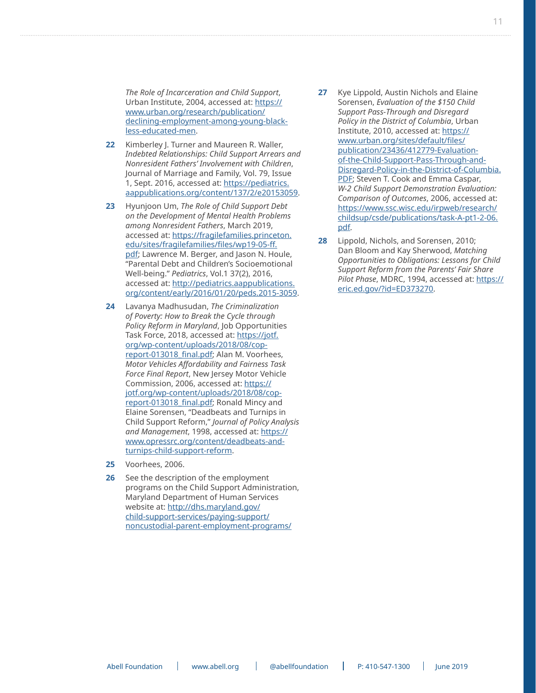<span id="page-10-0"></span>*The Role of Incarceration and Child Support*, Urban Institute, 2004, accessed at: [https://](https://www.urban.org/research/publication/declining-employment-among-young-black-less-educated-men) [www.urban.org/research/publication/](https://www.urban.org/research/publication/declining-employment-among-young-black-less-educated-men) [declining-employment-among-young-black](https://www.urban.org/research/publication/declining-employment-among-young-black-less-educated-men)[less-educated-men.](https://www.urban.org/research/publication/declining-employment-among-young-black-less-educated-men)

- **22** Kimberley J. Turner and Maureen R. Waller, *Indebted Relationships: Child Support Arrears and Nonresident Fathers' Involvement with Children*, Journal of Marriage and Family, Vol. 79, Issue 1, Sept. 2016, accessed at: [https://pediatrics.](https://pediatrics.aappublications.org/content/137/2/e20153059) [aappublications.org/content/137/2/e20153059](https://pediatrics.aappublications.org/content/137/2/e20153059).
- **[23](#page-6-0)** Hyunjoon Um, *The Role of Child Support Debt on the Development of Mental Health Problems among Nonresident Fathers*, March 2019, accessed at: [https://fragilefamilies.princeton.](https://fragilefamilies.princeton.edu/sites/fragilefamilies/files/wp19-05-ff.pdf) [edu/sites/fragilefamilies/files/wp19-05-ff.](https://fragilefamilies.princeton.edu/sites/fragilefamilies/files/wp19-05-ff.pdf) [pdf;](https://fragilefamilies.princeton.edu/sites/fragilefamilies/files/wp19-05-ff.pdf) Lawrence M. Berger, and Jason N. Houle, "Parental Debt and Children's Socioemotional Well-being." *Pediatrics*, Vol.1 37(2), 2016, accessed at: [http://pediatrics.aappublications.](http://pediatrics.aappublications.org/content/early/2016/01/20/peds.2015-3059) [org/content/early/2016/01/20/peds.2015-3059.](http://pediatrics.aappublications.org/content/early/2016/01/20/peds.2015-3059)
- **[24](#page-6-0)** Lavanya Madhusudan, *The Criminalization of Poverty: How to Break the Cycle through Policy Reform in Maryland*, Job Opportunities Task Force, 2018, accessed at: [https://jotf.](https://jotf.org/wp-content/uploads/2018/08/cop-report-013018_final.pdf) [org/wp-content/uploads/2018/08/cop](https://jotf.org/wp-content/uploads/2018/08/cop-report-013018_final.pdf)report-013018 final.pdf; Alan M. Voorhees, *Motor Vehicles Affordability and Fairness Task Force Final Report*, New Jersey Motor Vehicle Commission, 2006, accessed at: [https://](https://jotf.org/wp-content/uploads/2018/08/cop-report-013018_final.pdf) [jotf.org/wp-content/uploads/2018/08/cop](https://jotf.org/wp-content/uploads/2018/08/cop-report-013018_final.pdf)[report-013018\\_final.pdf](https://jotf.org/wp-content/uploads/2018/08/cop-report-013018_final.pdf); Ronald Mincy and Elaine Sorensen, "Deadbeats and Turnips in Child Support Reform," *Journal of Policy Analysis and Management*, 1998, accessed at: [https://](https://www.opressrc.org/content/deadbeats-and-turnips-child-support-reform) [www.opressrc.org/content/deadbeats-and](https://www.opressrc.org/content/deadbeats-and-turnips-child-support-reform)[turnips-child-support-reform](https://www.opressrc.org/content/deadbeats-and-turnips-child-support-reform).
- **[25](#page-6-0)** Voorhees, 2006.
- **[26](#page-6-0)** See the description of the employment programs on the Child Support Administration, Maryland Department of Human Services website at: [http://dhs.maryland.gov/](http://dhs.maryland.gov/child-support-services/paying-support/noncustodial-parent-employment-programs/) [child-support-services/paying-support/](http://dhs.maryland.gov/child-support-services/paying-support/noncustodial-parent-employment-programs/) [noncustodial-parent-employment-programs/](http://dhs.maryland.gov/child-support-services/paying-support/noncustodial-parent-employment-programs/)
- **[27](#page-7-0)** Kye Lippold, Austin Nichols and Elaine Sorensen, *Evaluation of the \$150 Child Support Pass-Through and Disregard Policy in the District of Columbia*, Urban Institute, 2010, accessed at: [https://](https://www.urban.org/sites/default/files/publication/23436/412779-Evaluation-of-the-Child-Support-Pass-Through-and-Disregard-Policy-in-the-District-of-Columbia.PDF) [www.urban.org/sites/default/files/](https://www.urban.org/sites/default/files/publication/23436/412779-Evaluation-of-the-Child-Support-Pass-Through-and-Disregard-Policy-in-the-District-of-Columbia.PDF) [publication/23436/412779-Evaluation](https://www.urban.org/sites/default/files/publication/23436/412779-Evaluation-of-the-Child-Support-Pass-Through-and-Disregard-Policy-in-the-District-of-Columbia.PDF)[of-the-Child-Support-Pass-Through-and-](https://www.urban.org/sites/default/files/publication/23436/412779-Evaluation-of-the-Child-Support-Pass-Through-and-Disregard-Policy-in-the-District-of-Columbia.PDF)[Disregard-Policy-in-the-District-of-Columbia.](https://www.urban.org/sites/default/files/publication/23436/412779-Evaluation-of-the-Child-Support-Pass-Through-and-Disregard-Policy-in-the-District-of-Columbia.PDF) [PDF;](https://www.urban.org/sites/default/files/publication/23436/412779-Evaluation-of-the-Child-Support-Pass-Through-and-Disregard-Policy-in-the-District-of-Columbia.PDF) Steven T. Cook and Emma Caspar, *W-2 Child Support Demonstration Evaluation: Comparison of Outcomes*, 2006, accessed at: [https://www.ssc.wisc.edu/irpweb/research/](https://www.ssc.wisc.edu/irpweb/research/childsup/csde/publications/task-A-pt1-2-06.pdf) [childsup/csde/publications/task-A-pt1-2-06.](https://www.ssc.wisc.edu/irpweb/research/childsup/csde/publications/task-A-pt1-2-06.pdf) [pdf](https://www.ssc.wisc.edu/irpweb/research/childsup/csde/publications/task-A-pt1-2-06.pdf).
- **[28](#page-8-0)** Lippold, Nichols, and Sorensen, 2010; Dan Bloom and Kay Sherwood, *Matching Opportunities to Obligations: Lessons for Child Support Reform from the Parents' Fair Share Pilot Phase*, MDRC, 1994, accessed at: [https://](https://eric.ed.gov/?id=ED373270) [eric.ed.gov/?id=ED373270](https://eric.ed.gov/?id=ED373270).

Abell Foundation Mww.abell.org | @abellfoundation | P: 410-547-1300 | June 2019